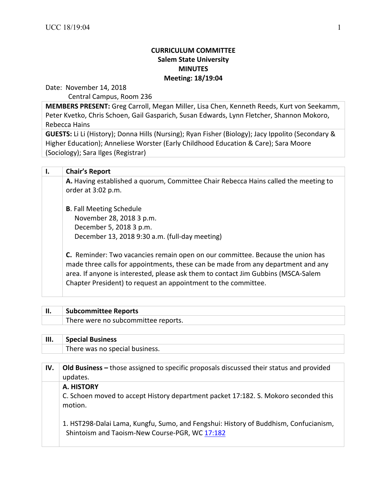## **CURRICULUM COMMITTEE Salem State University MINUTES Meeting: 18/19:04**

Date: November 14, 2018

Central Campus, Room 236

**MEMBERS PRESENT:** Greg Carroll, Megan Miller, Lisa Chen, Kenneth Reeds, Kurt von Seekamm, Peter Kvetko, Chris Schoen, Gail Gasparich, Susan Edwards, Lynn Fletcher, Shannon Mokoro, Rebecca Hains

**GUESTS:** Li Li (History); Donna Hills (Nursing); Ryan Fisher (Biology); Jacy Ippolito (Secondary & Higher Education); Anneliese Worster (Early Childhood Education & Care); Sara Moore (Sociology); Sara Ilges (Registrar)

| Ι. | <b>Chair's Report</b>                                                                                                                                                                                                                                                                                                            |
|----|----------------------------------------------------------------------------------------------------------------------------------------------------------------------------------------------------------------------------------------------------------------------------------------------------------------------------------|
|    | A. Having established a quorum, Committee Chair Rebecca Hains called the meeting to<br>order at 3:02 p.m.                                                                                                                                                                                                                        |
|    | <b>B.</b> Fall Meeting Schedule<br>November 28, 2018 3 p.m.<br>December 5, 2018 3 p.m.<br>December 13, 2018 9:30 a.m. (full-day meeting)                                                                                                                                                                                         |
|    | <b>C.</b> Reminder: Two vacancies remain open on our committee. Because the union has<br>made three calls for appointments, these can be made from any department and any<br>area. If anyone is interested, please ask them to contact Jim Gubbins (MSCA-Salem<br>Chapter President) to request an appointment to the committee. |

| <b>Subcommittee Reports</b>         |
|-------------------------------------|
| There were no subcommittee reports. |
|                                     |

| III. | <b>Special Business</b>        |
|------|--------------------------------|
|      | There was no special business. |

| IV. | Old Business – those assigned to specific proposals discussed their status and provided<br>updates.                                    |
|-----|----------------------------------------------------------------------------------------------------------------------------------------|
|     | A. HISTORY                                                                                                                             |
|     | C. Schoen moved to accept History department packet 17:182. S. Mokoro seconded this<br>motion.                                         |
|     | 1. HST298-Dalai Lama, Kungfu, Sumo, and Fengshui: History of Buddhism, Confucianism,<br>Shintoism and Taoism-New Course-PGR, WC 17:182 |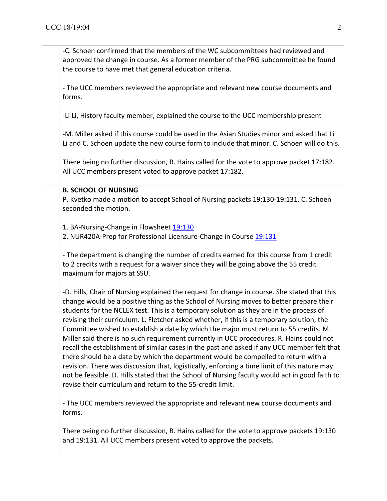-C. Schoen confirmed that the members of the WC subcommittees had reviewed and approved the change in course. As a former member of the PRG subcommittee he found the course to have met that general education criteria.

- The UCC members reviewed the appropriate and relevant new course documents and forms.

-Li Li, History faculty member, explained the course to the UCC membership present

-M. Miller asked if this course could be used in the Asian Studies minor and asked that Li Li and C. Schoen update the new course form to include that minor. C. Schoen will do this.

There being no further discussion, R. Hains called for the vote to approve packet 17:182. All UCC members present voted to approve packet 17:182.

## **B. SCHOOL OF NURSING**

P. Kvetko made a motion to accept School of Nursing packets 19:130-19:131. C. Schoen seconded the motion.

1. BA-Nursing-Change in Flowsheet 19:130 2. NUR420A-Prep for Professional Licensure-Change in Course 19:131

- The department is changing the number of credits earned for this course from 1 credit to 2 credits with a request for a waiver since they will be going above the 55 credit maximum for majors at SSU.

-D. Hills, Chair of Nursing explained the request for change in course. She stated that this change would be a positive thing as the School of Nursing moves to better prepare their students for the NCLEX test. This is a temporary solution as they are in the process of revising their curriculum. L. Fletcher asked whether, if this is a temporary solution, the Committee wished to establish a date by which the major must return to 55 credits. M. Miller said there is no such requirement currently in UCC procedures. R. Hains could not recall the establishment of similar cases in the past and asked if any UCC member felt that there should be a date by which the department would be compelled to return with a revision. There was discussion that, logistically, enforcing a time limit of this nature may not be feasible. D. Hills stated that the School of Nursing faculty would act in good faith to revise their curriculum and return to the 55-credit limit.

- The UCC members reviewed the appropriate and relevant new course documents and forms.

There being no further discussion, R. Hains called for the vote to approve packets 19:130 and 19:131. All UCC members present voted to approve the packets.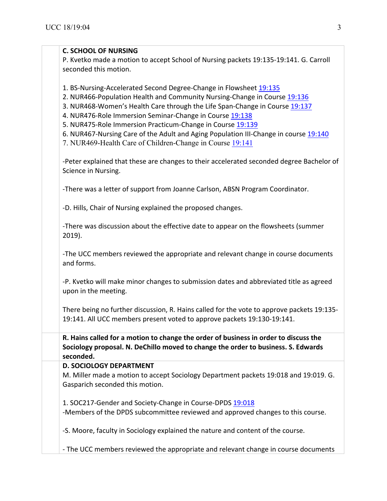| <b>C. SCHOOL OF NURSING</b>                                                                                                                                                                                                                                                                                                                              |
|----------------------------------------------------------------------------------------------------------------------------------------------------------------------------------------------------------------------------------------------------------------------------------------------------------------------------------------------------------|
| P. Kvetko made a motion to accept School of Nursing packets 19:135-19:141. G. Carroll                                                                                                                                                                                                                                                                    |
| seconded this motion.                                                                                                                                                                                                                                                                                                                                    |
| 1. BS-Nursing-Accelerated Second Degree-Change in Flowsheet 19:135<br>2. NUR466-Population Health and Community Nursing-Change in Course 19:136<br>3. NUR468-Women's Health Care through the Life Span-Change in Course 19:137<br>4. NUR476-Role Immersion Seminar-Change in Course 19:138<br>5. NUR475-Role Immersion Practicum-Change in Course 19:139 |
| 6. NUR467-Nursing Care of the Adult and Aging Population III-Change in course 19:140<br>7. NUR469-Health Care of Children-Change in Course 19:141                                                                                                                                                                                                        |
| -Peter explained that these are changes to their accelerated seconded degree Bachelor of<br>Science in Nursing.                                                                                                                                                                                                                                          |
| -There was a letter of support from Joanne Carlson, ABSN Program Coordinator.                                                                                                                                                                                                                                                                            |
| -D. Hills, Chair of Nursing explained the proposed changes.                                                                                                                                                                                                                                                                                              |
| -There was discussion about the effective date to appear on the flowsheets (summer<br>$2019$ ).                                                                                                                                                                                                                                                          |
| -The UCC members reviewed the appropriate and relevant change in course documents<br>and forms.                                                                                                                                                                                                                                                          |
| -P. Kvetko will make minor changes to submission dates and abbreviated title as agreed<br>upon in the meeting.                                                                                                                                                                                                                                           |
| There being no further discussion, R. Hains called for the vote to approve packets 19:135-<br>19:141. All UCC members present voted to approve packets 19:130-19:141.                                                                                                                                                                                    |
| R. Hains called for a motion to change the order of business in order to discuss the<br>Sociology proposal. N. DeChillo moved to change the order to business. S. Edwards<br>seconded.                                                                                                                                                                   |
| <b>D. SOCIOLOGY DEPARTMENT</b>                                                                                                                                                                                                                                                                                                                           |
| M. Miller made a motion to accept Sociology Department packets 19:018 and 19:019. G.<br>Gasparich seconded this motion.                                                                                                                                                                                                                                  |
| 1. SOC217-Gender and Society-Change in Course-DPDS 19:018<br>-Members of the DPDS subcommittee reviewed and approved changes to this course.                                                                                                                                                                                                             |
| -S. Moore, faculty in Sociology explained the nature and content of the course.                                                                                                                                                                                                                                                                          |
| - The UCC members reviewed the appropriate and relevant change in course documents                                                                                                                                                                                                                                                                       |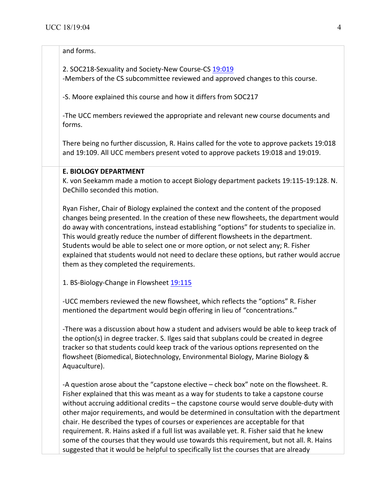## and forms.

2. SOC218-Sexuality and Society-New Course-CS 19:019

-Members of the CS subcommittee reviewed and approved changes to this course.

-S. Moore explained this course and how it differs from SOC217

-The UCC members reviewed the appropriate and relevant new course documents and forms.

There being no further discussion, R. Hains called for the vote to approve packets 19:018 and 19:109. All UCC members present voted to approve packets 19:018 and 19:019.

## **E. BIOLOGY DEPARTMENT**

K. von Seekamm made a motion to accept Biology department packets 19:115-19:128. N. DeChillo seconded this motion.

Ryan Fisher, Chair of Biology explained the context and the content of the proposed changes being presented. In the creation of these new flowsheets, the department would do away with concentrations, instead establishing "options" for students to specialize in. This would greatly reduce the number of different flowsheets in the department. Students would be able to select one or more option, or not select any; R. Fisher explained that students would not need to declare these options, but rather would accrue them as they completed the requirements.

1. BS-Biology-Change in Flowsheet 19:115

-UCC members reviewed the new flowsheet, which reflects the "options" R. Fisher mentioned the department would begin offering in lieu of "concentrations."

-There was a discussion about how a student and advisers would be able to keep track of the option(s) in degree tracker. S. Ilges said that subplans could be created in degree tracker so that students could keep track of the various options represented on the flowsheet (Biomedical, Biotechnology, Environmental Biology, Marine Biology & Aquaculture).

-A question arose about the "capstone elective – check box" note on the flowsheet. R. Fisher explained that this was meant as a way for students to take a capstone course without accruing additional credits  $-$  the capstone course would serve double-duty with other major requirements, and would be determined in consultation with the department chair. He described the types of courses or experiences are acceptable for that requirement. R. Hains asked if a full list was available yet. R. Fisher said that he knew some of the courses that they would use towards this requirement, but not all. R. Hains suggested that it would be helpful to specifically list the courses that are already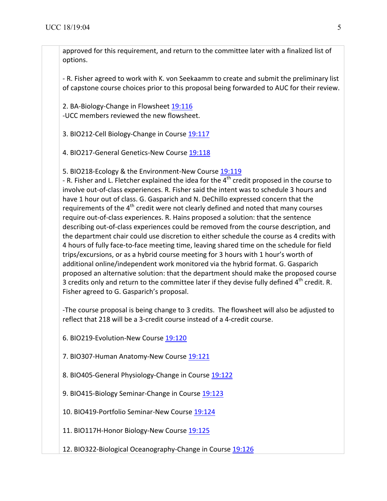approved for this requirement, and return to the committee later with a finalized list of options. 

- R. Fisher agreed to work with K. von Seekaamm to create and submit the preliminary list of capstone course choices prior to this proposal being forwarded to AUC for their review.

2. BA-Biology-Change in Flowsheet 19:116 -UCC members reviewed the new flowsheet.

3. BIO212-Cell Biology-Change in Course 19:117

4. BIO217-General Genetics-New Course 19:118

5. BIO218-Ecology & the Environment-New Course 19:119

- R. Fisher and L. Fletcher explained the idea for the  $4<sup>th</sup>$  credit proposed in the course to involve out-of-class experiences. R. Fisher said the intent was to schedule 3 hours and have 1 hour out of class. G. Gasparich and N. DeChillo expressed concern that the requirements of the  $4<sup>th</sup>$  credit were not clearly defined and noted that many courses require out-of-class experiences. R. Hains proposed a solution: that the sentence describing out-of-class experiences could be removed from the course description, and the department chair could use discretion to either schedule the course as 4 credits with 4 hours of fully face-to-face meeting time, leaving shared time on the schedule for field trips/excursions, or as a hybrid course meeting for 3 hours with 1 hour's worth of additional online/independent work monitored via the hybrid format. G. Gasparich proposed an alternative solution: that the department should make the proposed course 3 credits only and return to the committee later if they devise fully defined  $4^{th}$  credit. R. Fisher agreed to G. Gasparich's proposal.

-The course proposal is being change to 3 credits. The flowsheet will also be adjusted to reflect that 218 will be a 3-credit course instead of a 4-credit course.

6. BIO219-Evolution-New Course 19:120

7. BIO307-Human Anatomy-New Course 19:121

8. BIO405-General Physiology-Change in Course 19:122

9. BIO415-Biology Seminar-Change in Course 19:123

10. BIO419-Portfolio Seminar-New Course 19:124

11. BIO117H-Honor Biology-New Course 19:125

12. BIO322-Biological Oceanography-Change in Course 19:126